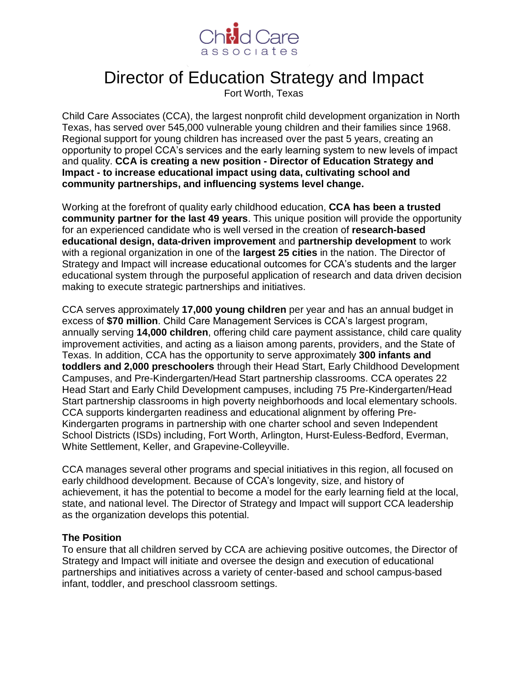

# Director of Education Strategy and Impact

Fort Worth, Texas

Child Care Associates (CCA), the largest nonprofit child development organization in North Texas, has served over 545,000 vulnerable young children and their families since 1968. Regional support for young children has increased over the past 5 years, creating an opportunity to propel CCA's services and the early learning system to new levels of impact and quality. **CCA is creating a new position - Director of Education Strategy and Impact - to increase educational impact using data, cultivating school and community partnerships, and influencing systems level change.**

Working at the forefront of quality early childhood education, **CCA has been a trusted community partner for the last 49 years**. This unique position will provide the opportunity for an experienced candidate who is well versed in the creation of **research-based educational design, data-driven improvement** and **partnership development** to work with a regional organization in one of the **largest 25 cities** in the nation. The Director of Strategy and Impact will increase educational outcomes for CCA's students and the larger educational system through the purposeful application of research and data driven decision making to execute strategic partnerships and initiatives.

CCA serves approximately **17,000 young children** per year and has an annual budget in excess of **\$70 million**. Child Care Management Services is CCA's largest program, annually serving **14,000 children**, offering child care payment assistance, child care quality improvement activities, and acting as a liaison among parents, providers, and the State of Texas. In addition, CCA has the opportunity to serve approximately **300 infants and toddlers and 2,000 preschoolers** through their Head Start, Early Childhood Development Campuses, and Pre-Kindergarten/Head Start partnership classrooms. CCA operates 22 Head Start and Early Child Development campuses, including 75 Pre-Kindergarten/Head Start partnership classrooms in high poverty neighborhoods and local elementary schools. CCA supports kindergarten readiness and educational alignment by offering Pre-Kindergarten programs in partnership with one charter school and seven Independent School Districts (ISDs) including, Fort Worth, Arlington, Hurst-Euless-Bedford, Everman, White Settlement, Keller, and Grapevine-Colleyville.

CCA manages several other programs and special initiatives in this region, all focused on early childhood development. Because of CCA's longevity, size, and history of achievement, it has the potential to become a model for the early learning field at the local, state, and national level. The Director of Strategy and Impact will support CCA leadership as the organization develops this potential.

#### **The Position**

To ensure that all children served by CCA are achieving positive outcomes, the Director of Strategy and Impact will initiate and oversee the design and execution of educational partnerships and initiatives across a variety of center-based and school campus-based infant, toddler, and preschool classroom settings.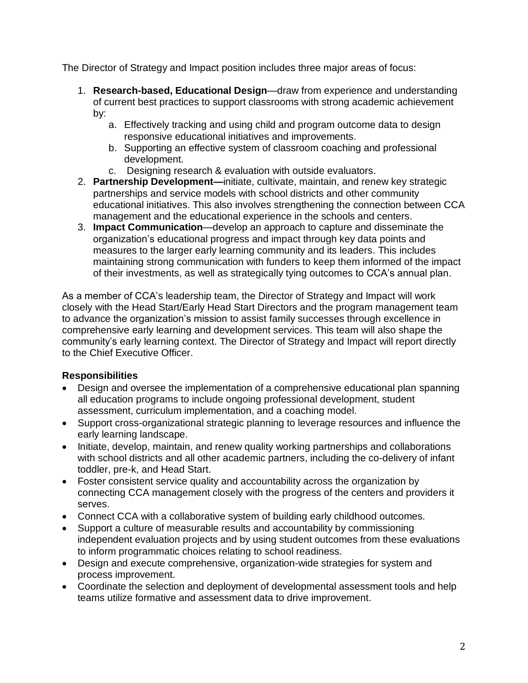The Director of Strategy and Impact position includes three major areas of focus:

- 1. **Research-based, Educational Design**—draw from experience and understanding of current best practices to support classrooms with strong academic achievement by:
	- a. Effectively tracking and using child and program outcome data to design responsive educational initiatives and improvements.
	- b. Supporting an effective system of classroom coaching and professional development.
	- c. Designing research & evaluation with outside evaluators.
- 2. **Partnership Development—**initiate, cultivate, maintain, and renew key strategic partnerships and service models with school districts and other community educational initiatives. This also involves strengthening the connection between CCA management and the educational experience in the schools and centers.
- 3. **Impact Communication**—develop an approach to capture and disseminate the organization's educational progress and impact through key data points and measures to the larger early learning community and its leaders. This includes maintaining strong communication with funders to keep them informed of the impact of their investments, as well as strategically tying outcomes to CCA's annual plan.

As a member of CCA's leadership team, the Director of Strategy and Impact will work closely with the Head Start/Early Head Start Directors and the program management team to advance the organization's mission to assist family successes through excellence in comprehensive early learning and development services. This team will also shape the community's early learning context. The Director of Strategy and Impact will report directly to the Chief Executive Officer.

# **Responsibilities**

- Design and oversee the implementation of a comprehensive educational plan spanning all education programs to include ongoing professional development, student assessment, curriculum implementation, and a coaching model.
- Support cross-organizational strategic planning to leverage resources and influence the early learning landscape.
- Initiate, develop, maintain, and renew quality working partnerships and collaborations with school districts and all other academic partners, including the co-delivery of infant toddler, pre-k, and Head Start.
- Foster consistent service quality and accountability across the organization by connecting CCA management closely with the progress of the centers and providers it serves.
- Connect CCA with a collaborative system of building early childhood outcomes.
- Support a culture of measurable results and accountability by commissioning independent evaluation projects and by using student outcomes from these evaluations to inform programmatic choices relating to school readiness.
- Design and execute comprehensive, organization-wide strategies for system and process improvement.
- Coordinate the selection and deployment of developmental assessment tools and help teams utilize formative and assessment data to drive improvement.